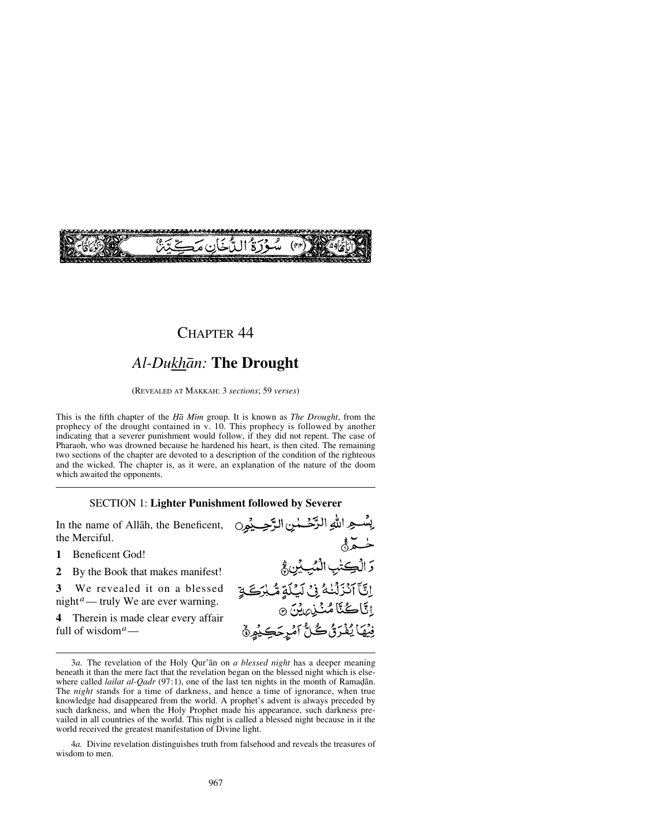

## CHAPTER 44

# *Al-Dukhån:* **The Drought**

(REVEALED AT MAKKAH: 3 *sections*; 59 *verses*)

This is the fifth chapter of the *Ïå Mßm* group. It is known as *The Drought*, from the prophecy of the drought contained in v. 10. This prophecy is followed by another indicating that a severer punishment would follow, if they did not repent. The case of Pharaoh, who was drowned because he hardened his heart, is then cited. The remaining two sections of the chapter are devoted to a description of the condition of the righteous and the wicked. The chapter is, as it were, an explanation of the nature of the doom which awaited the opponents.

#### SECTION 1: **Lighter Punishment followed by Severer**

In the name of Allåh, the Beneficent, the Merciful.

#### **1** Beneficent God!

**2** By the Book that makes manifest!

**3** We revealed it on a blessed night*a*— truly We are ever warning.

**4** Therein is made clear every affair full of wisdom*a*—

4*a.* Divine revelation distinguishes truth from falsehood and reveals the treasures of wisdom to men.

بِسْعِ اللهِ الرَّحْمٰنِ الرَّحِيِّمِِ0 خدَّةُ وَالْكِتْبِ الْمُبِّيْنِ فَجْ اِنَّ) اَنْزَلْنَٰهُ فِیْ لَیْلَةٍ مُّبْرَكَةٍ اِنَّاڪُنَّا مُٺُذِيرِينَ ۞ فِيْهَا يُفْرَقُ كُلُّ آمْرِحَكِيْمِيُّ

<sup>3</sup>*a.* The revelation of the Holy Qur'ån on *a blessed night* has a deeper meaning beneath it than the mere fact that the revelation began on the blessed night which is elsewhere called *lailat al-Qadr* (97:1), one of the last ten nights in the month of Ramadan. The *night* stands for a time of darkness, and hence a time of ignorance, when true knowledge had disappeared from the world. A prophet's advent is always preceded by such darkness, and when the Holy Prophet made his appearance, such darkness prevailed in all countries of the world. This night is called a blessed night because in it the world received the greatest manifestation of Divine light.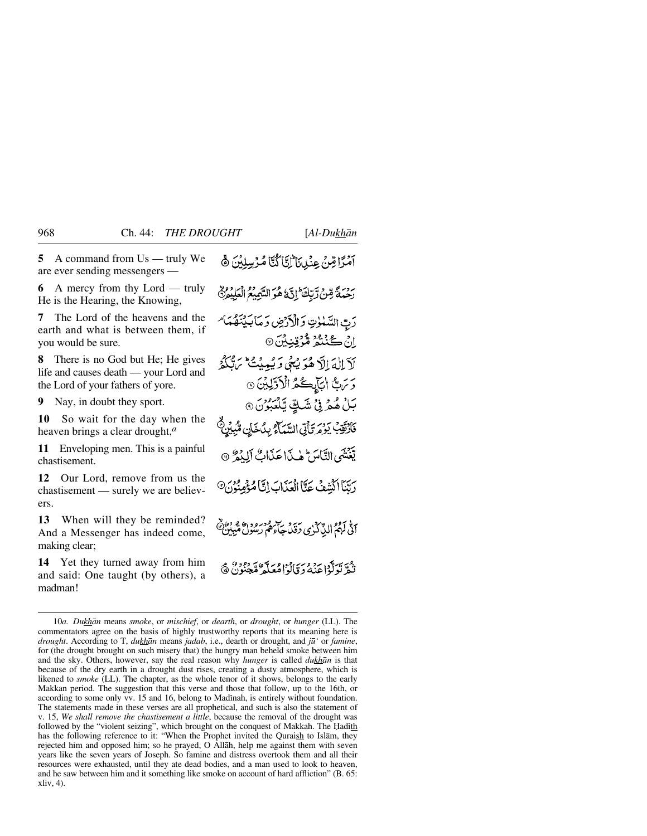**5** A command from Us — truly We are ever sending messengers —

**6** A mercy from thy Lord — truly He is the Hearing, the Knowing,

**7** The Lord of the heavens and the earth and what is between them, if you would be sure.

**8** There is no God but He; He gives life and causes death — your Lord and the Lord of your fathers of yore.

**9** Nay, in doubt they sport.

**10** So wait for the day when the heaven brings a clear drought,*<sup>a</sup>*

**11** Enveloping men. This is a painful chastisement.

**12** Our Lord, remove from us the chastisement — surely we are believers.

**13** When will they be reminded? And a Messenger has indeed come, making clear;

**14** Yet they turned away from him and said: One taught (by others), a madman!

آمَرًا قِنْ عِنْدِينَا إِنَّا لَمَّا مُرْسِنِيْنَ ﴾ رَحِمَةً مِّنْ رَّبِّكَ ۚ إِنَّ هُوَ السَّمِيعُ الْعَلِيْمِنَّ دَبِّ السَّلَوٰتِ وَالْأَرْضِ وَمَابَيْنَهُمَا مِ اِنْ گُنْشُرُ مُّرُقِنِيْنَ ۞ لَآلِكَ إِلَّا هُوَ يُعْي وَيُعِيدُ مِنْ مِنْ مَجْلَامِ رَسِّ ابِجَابِكُمُ الْأَوَّلِيْنَ ۞ بَلْ هُمْرِ فِيْ شَكِّ يَّلْعَبُوْنَ ۞ فَأَرْقِبْ يَوْمَرَ يَأْتِي السَّمَاءُ بِدُخَانِ مِّبِيْنٍ يَغْنَبَي التَّامَرَ مِنْ مِا عَذَابٌ أَلِدُهُ ۞ رِيَّنَا الشِّفُ عَنَّا الْعَذَابَ إِنَّا مُؤْمِنُونَ® الله أمهم الذِّكْرُى دَقَلَ جَأْمُ رَسُولُ مُّبِينٌ ديس ترتولوا عنه دي وداور سوء تروبود.<br>نيمر تركوا عنه دي كوامعكم مجنون @

<sup>10</sup>*a. Dukhån* means *smoke*, or *mischief*, or *dearth*, or *drought*, or *hunger* (LL). The commentators agree on the basis of highly trustworthy reports that its meaning here is *drought*. According to T, *dukhån* means *jadab*, i.e., dearth or drought, and *j∂'* or *famine*, for (the drought brought on such misery that) the hungry man beheld smoke between him and the sky. Others, however, say the real reason why *hunger* is called *dukhån* is that because of the dry earth in a drought dust rises, creating a dusty atmosphere, which is likened to *smoke* (LL). The chapter, as the whole tenor of it shows, belongs to the early Makkan period. The suggestion that this verse and those that follow, up to the 16th, or according to some only vv. 15 and 16, belong to Madinah, is entirely without foundation. The statements made in these verses are all prophetical, and such is also the statement of v. 15, *We shall remove the chastisement a little*, because the removal of the drought was followed by the "violent seizing", which brought on the conquest of Makkah. The Hadith has the following reference to it: "When the Prophet invited the Quraish to Islåm, they rejected him and opposed him; so he prayed, O Allåh, help me against them with seven years like the seven years of Joseph. So famine and distress overtook them and all their resources were exhausted, until they ate dead bodies, and a man used to look to heaven, and he saw between him and it something like smoke on account of hard affliction" (B. 65: xliv, 4).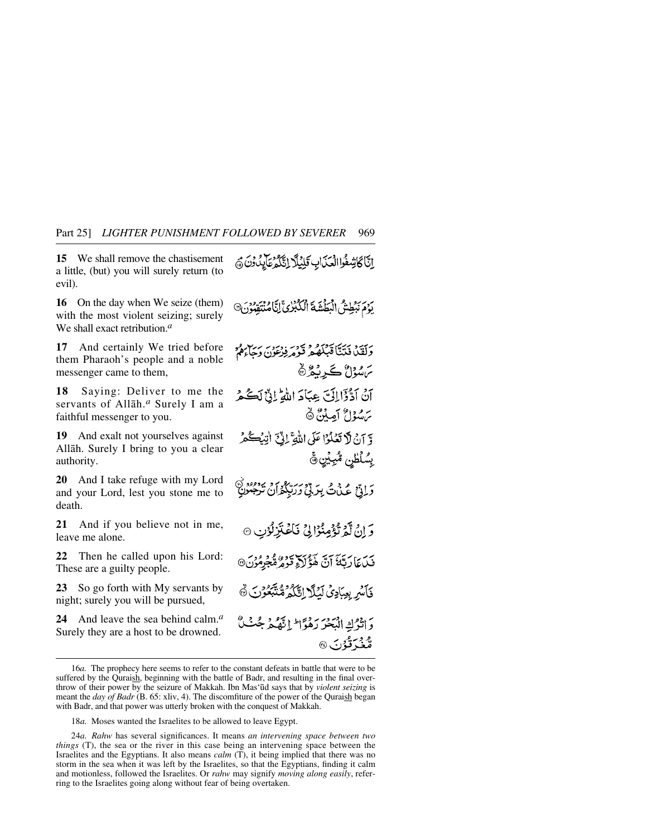**15** We shall remove the chastisement a little, (but) you will surely return (to evil).

**16** On the day when We seize (them) with the most violent seizing; surely We shall exact retribution.*<sup>a</sup>*

**17** And certainly We tried before them Pharaoh's people and a noble messenger came to them,

**18** Saying: Deliver to me the servants of Allåh.*<sup>a</sup>* Surely I am a faithful messenger to you.

**19** And exalt not yourselves against Allåh. Surely I bring to you a clear authority.

**20** And I take refuge with my Lord and your Lord, lest you stone me to death.

**21** And if you believe not in me, leave me alone.

**22** Then he called upon his Lord: These are a guilty people.

**23** So go forth with My servants by night; surely you will be pursued,

**24** And leave the sea behind calm.*<sup>a</sup>* Surely they are a host to be drowned.

بِرَدِينِهِ الْبَعْلَةَ فَالْكَبْرُيَّ إِنَّاهُ بِيَبْرُدِينَ۞ رَيْبَهُ ذَيْتًا قَبْلُهُمْ قَوْمِ فِرْمِوْرٌ رَبٍّ مُ س سُوْلٌ ڪَرِنَهُ کُهُ آنُ اَذْكَرَا إِلَىٰٓ عِبَادَ اللَّهِ ۚ إِنَّ لَكُ هُ برموداع أصابيقي ه وَّ آنْ لاَ تَعْلَوْا عَلَى اللَّهِ ۚ إِذِّي أَنِّهُ كُمْ بِسُلَطْنِ مُّبِيِّنٍ ﴾ رَ إِنَّ عَيْنَ بِرَبِّيْ رَرَبِّكُمْ أَنْ تَرْجَمُونَ<br>دَانِيٌّ عَيْنَ بِرَبِّيْ رَرَبِّكُمْ أَنْ تَرْجَمُونِ وَ إِنْ لَهُمْ تَؤْمِنُوْا لِي فَأَعْتَزِلُوْنِ ۞ فَيْدَعَا رَبَّهُمَ آنَّ هَؤُلَاَءِ قَوْمُرَةٌ جُوْمُوْنَ® فَأَسْرِ بِعِبَادِيُ لَيُلَّا اِتَّكُمْ مُنَّبِّعُونَ دَ اثْرُكِ الْبَحْرَ رَهُوَّا ۖ إِنَّهُ مِّرْ جُبُّ ە دىر<br>مەنبە قۇن ®

انَّا كَاشِفُوا الْعَذَابِ قَلِيلًا إِنَّكُمْ عَالَيْدُونَ ﴾

<sup>16</sup>*a.* The prophecy here seems to refer to the constant defeats in battle that were to be suffered by the Quraish, beginning with the battle of Badr, and resulting in the final overthrow of their power by the seizure of Makkah. Ibn Mas'∂d says that by *violent seizing* is meant the *day of Badr* (B. 65: xliv, 4). The discomfiture of the power of the Quraish began with Badr, and that power was utterly broken with the conquest of Makkah.

<sup>18</sup>*a.* Moses wanted the Israelites to be allowed to leave Egypt.

<sup>24</sup>*a. Rahw* has several significances. It means *an intervening space between two things* (T), the sea or the river in this case being an intervening space between the Israelites and the Egyptians. It also means *calm* (T), it being implied that there was no storm in the sea when it was left by the Israelites, so that the Egyptians, finding it calm and motionless, followed the Israelites. Or *rahw* may signify *moving along easily*, referring to the Israelites going along without fear of being overtaken.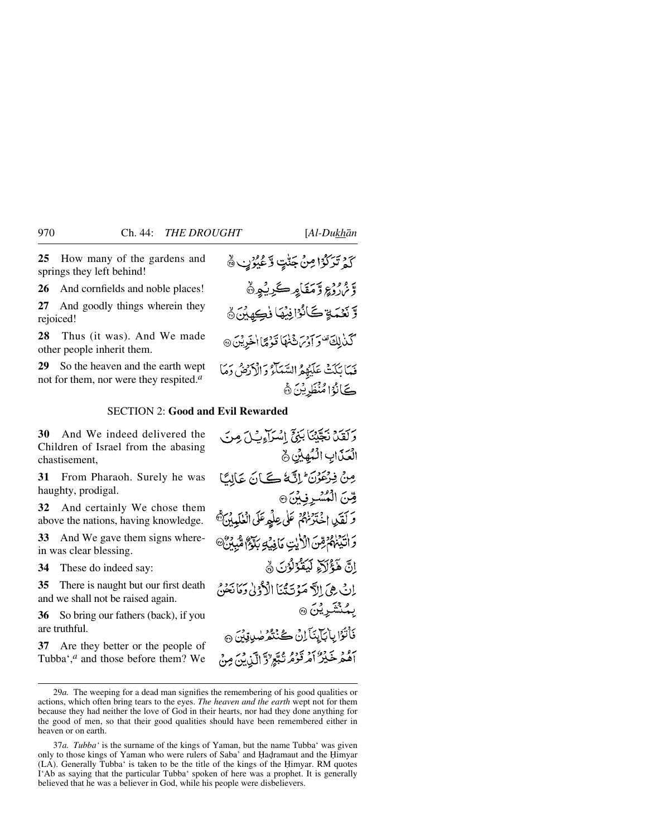**25** How many of the gardens and springs they left behind!

**26** And cornfields and noble places!

**27** And goodly things wherein they rejoiced!

**28** Thus (it was). And We made other people inherit them.

**29** So the heaven and the earth wept not for them, nor were they respited.*<sup>a</sup>*

كَمْ تَرَكَّوْا مِنْ جَنّْتٍ وَّعُيُوْبٍ ۞

وَمَ<sub>ا</sub>ْرُدِّعِ وَّمَقَامِرِكَرِيْهِنَّ وَّ نَعْمَةٍ كَانُوْافِيُهَا نُكِهِيْنَ ﴾ كَذَٰ لِكَ تَفْرَ أَدْسَ ثَنْهَا نَّذَهَا اٰ خَدِيْنَ ۞

فَعَا تُلَتُّ عَلَيْهِمُّ السَّعَلَّةُ وَالْأَدْخِنُّ دَمَا كَمَانُوْا مُنْظَرِيْنَ ﴾

### SECTION 2: **Good and Evil Rewarded**

**30** And We indeed delivered the Children of Israel from the abasing chastisement,

**31** From Pharaoh. Surely he was haughty, prodigal.

**32** And certainly We chose them above the nations, having knowledge.

**33** And We gave them signs wherein was clear blessing.

**34** These do indeed say:

**35** There is naught but our first death and we shall not be raised again.

**36** So bring our fathers (back), if you are truthful.

**37** Are they better or the people of Tubba',*<sup>a</sup>* and those before them? We

وَكَفَيْدٌ نَجِّيْنَا بَنِيٍّ اسْرَآءِبُ/ مِرِسَ الْعَذَابِ الْمُهِيْنِ جِ مِنْ فِرْعَوْنَ إِنَّ كَانَ عَالَمًا قِّنَ الْمُسْرِفِينَ® وَكَفَيْدِ اخْتَرْنَهُمْ عَلَى عِلْمِهِ عَلَى الْغَلَيْبِينَ ﴾ وَ أَتَيۡنَٰهُمۡ قِنَ الۡلَّٰآٰيٰتِ مَاۡ فِيۡكِ بِلَاَّةِ ۖ مُّبِيۡنٌ ۞ إِنَّ هَؤُلاَءِ لَيَقَوْلُوْنَ ﴾ إِنْ هِيَ إِلاَّ مَوْتَتَنَا الْأَدْنِيٰ دَمَانَحْنَّ ۣؠڲٮ<del>ٛۺ</del>ۧڔؿڽ۞ ىَأْتُوَّا بِأَبَايِنَا إِنْ كُنْتُوَ صُوِيقِينَ ۞ آهُمْ خَيْرٌ أَمْرَ قَوْمُ نُبَّعٍ لَاَّ الَّيْ يَنَ مِنْ

<sup>29</sup>*a.* The weeping for a dead man signifies the remembering of his good qualities or actions, which often bring tears to the eyes. *The heaven and the earth* wept not for them because they had neither the love of God in their hearts, nor had they done anything for the good of men, so that their good qualities should have been remembered either in heaven or on earth.

<sup>37</sup>*a. Tubba'* is the surname of the kings of Yaman, but the name Tubba' was given only to those kings of Yaman who were rulers of Saba' and Hadramaut and the Himyar (LA). Generally Tubba' is taken to be the title of the kings of the Himyar. RM quotes I'Ab as saying that the particular Tubba' spoken of here was a prophet. It is generally believed that he was a believer in God, while his people were disbelievers.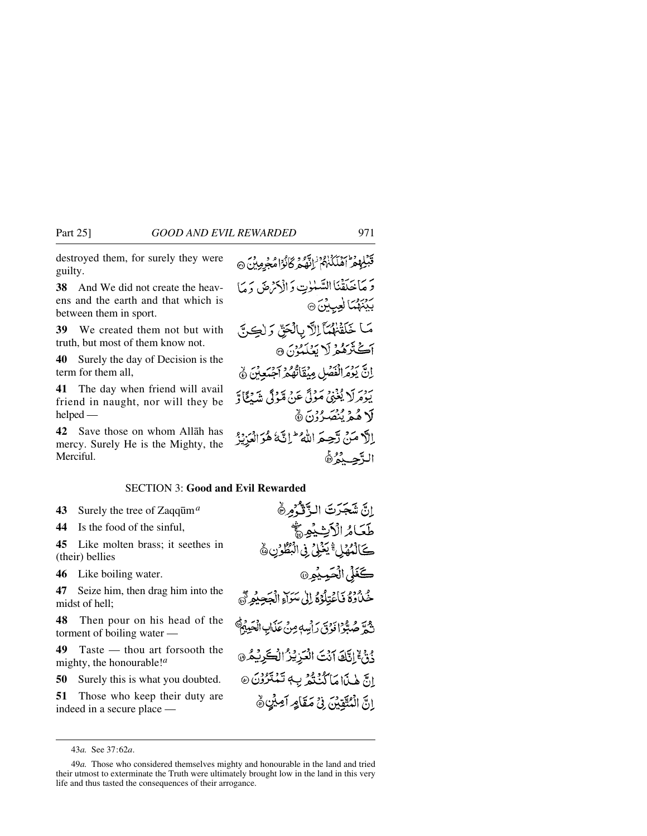destroyed them, for surely they were guilty.

**38** And We did not create the heavens and the earth and that which is between them in sport.

**39** We created them not but with truth, but most of them know not.

**40** Surely the day of Decision is the term for them all,

**41** The day when friend will avail friend in naught, nor will they be helped —

**42** Save those on whom Allåh has mercy. Surely He is the Mighty, the Merciful.

قَبْلِهِمْ أَهْلَكُنْهُمْ ٰ إِنَّهُ ۚ وَكَانُوْا مُجْرِمِينَ ۞ وَ مَا حَدَقْنَا السَّلَّوٰتِ وَ الْأَمْرِضَ دَ مَا بَيْنَهُمَا لِعِبِيْنَ ۞ مَا خَلَقْتُهُمَّا اِلَّا بِالْحَقِّ وَلَكِنَّ آڪٽُرَهُمْ لَا بَعُلَمُ ُنَ 9 اِنَّ يَوْمَرانْعَصْلِ مِنْقَاتُهُمْ آجِيَعِيْنَ ﴾ بِيَوْمِرِ لَا يُغْنِيُّ مَوْلَى عَنْ مَدْنَى مِنْهُ فِي الْمَدْنَجَانَةِ لَا هُمْ يُنْصَدِّرْنَ ۞ إلَّا مَنْ تَحِيمَ اللَّهُ ۖ إِنَّهُ هُوَ الْعَزِيْزُ الأحبدُهُ

## SECTION 3: **Good and Evil Rewarded**

**43** Surely the tree of Zaqqūm<sup>*a*</sup>

**44** Is the food of the sinful,

**45** Like molten brass; it seethes in (their) bellies

**46** Like boiling water.

**47** Seize him, then drag him into the midst of hell;

**48** Then pour on his head of the torment of boiling water —

**49** Taste — thou art forsooth the mighty, the honourable!*<sup>a</sup>*

**50** Surely this is what you doubted.

**51** Those who keep their duty are indeed in a secure place —

طَعَامُ الْأَيْشِيْهِ ﴾ كَالْمُهْلِ ۚ يَذَلِّي فِى الْبُطُوْنِ ﴾ كَغَلِّ الْحَمِيْمِرِ® حُدُّدُوْهُ فَأَعْتِلُوْهُ إِلَىٰ سَرَآءِ الْجَعِيْمِرَّةَ ۖ شمرَّ صُبُّوا فَوُقَ رَأْسِهٖ مِنْ عَذَابِ الْحَيِيْجُ ذُنْ إِنَّكَ آنَتَ الْعَزِيْزُ الْكَرِيْمُ @ انَّ هٰذَا مَا كُنْتُمْ بِ تَمْتَرُوْنَ ۞ انَّ الْمُتَّقِينَ فِي مَقَامِرِ آمِيْنِ ﴾

إِنَّ شَجَرَتَ الزَّقْرُمِرُّ

43*a.* See 37:62*a*.

<sup>49</sup>*a.* Those who considered themselves mighty and honourable in the land and tried their utmost to exterminate the Truth were ultimately brought low in the land in this very life and thus tasted the consequences of their arrogance.